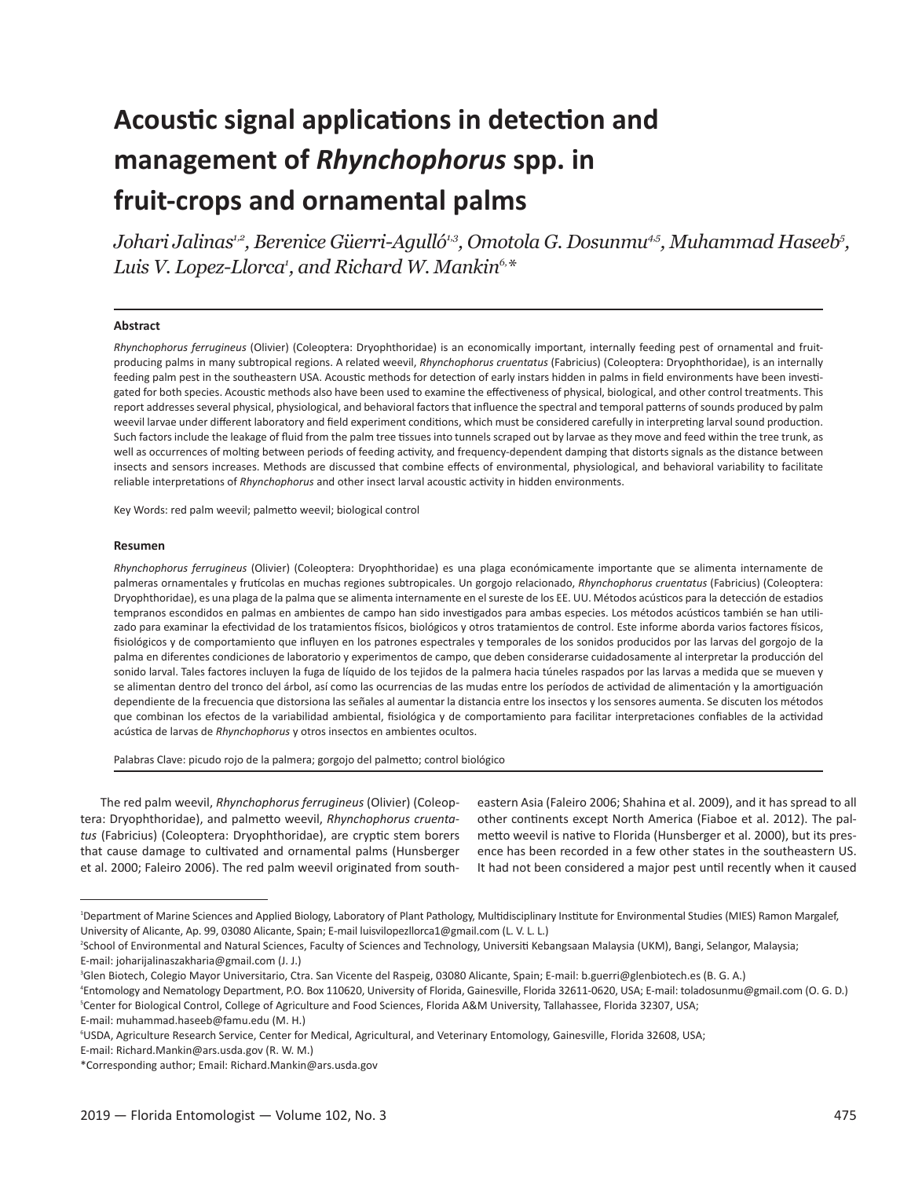# **Acoustic signal applications in detection and management of** *Rhynchophorus* **spp. in fruit-crops and ornamental palms**

*Johari Jalinas1,2, Berenice Güerri-Agulló1,3, Omotola G. Dosunmu4,5, Muhammad Haseeb5 , Luis V. Lopez-Llorca1 , and Richard W. Mankin6,\**

#### **Abstract**

*Rhynchophorus ferrugineus* (Olivier) (Coleoptera: Dryophthoridae) is an economically important, internally feeding pest of ornamental and fruitproducing palms in many subtropical regions. A related weevil, *Rhynchophorus cruentatus* (Fabricius) (Coleoptera: Dryophthoridae), is an internally feeding palm pest in the southeastern USA. Acoustic methods for detection of early instars hidden in palms in field environments have been investigated for both species. Acoustic methods also have been used to examine the effectiveness of physical, biological, and other control treatments. This report addresses several physical, physiological, and behavioral factors that influence the spectral and temporal patterns of sounds produced by palm weevil larvae under different laboratory and field experiment conditions, which must be considered carefully in interpreting larval sound production. Such factors include the leakage of fluid from the palm tree tissues into tunnels scraped out by larvae as they move and feed within the tree trunk, as well as occurrences of molting between periods of feeding activity, and frequency-dependent damping that distorts signals as the distance between insects and sensors increases. Methods are discussed that combine effects of environmental, physiological, and behavioral variability to facilitate reliable interpretations of *Rhynchophorus* and other insect larval acoustic activity in hidden environments.

Key Words: red palm weevil; palmetto weevil; biological control

#### **Resumen**

*Rhynchophorus ferrugineus* (Olivier) (Coleoptera: Dryophthoridae) es una plaga económicamente importante que se alimenta internamente de palmeras ornamentales y frutícolas en muchas regiones subtropicales. Un gorgojo relacionado, *Rhynchophorus cruentatus* (Fabricius) (Coleoptera: Dryophthoridae), es una plaga de la palma que se alimenta internamente en el sureste de los EE. UU. Métodos acústicos para la detección de estadios tempranos escondidos en palmas en ambientes de campo han sido investigados para ambas especies. Los métodos acústicos también se han utilizado para examinar la efectividad de los tratamientos físicos, biológicos y otros tratamientos de control. Este informe aborda varios factores físicos, fisiológicos y de comportamiento que influyen en los patrones espectrales y temporales de los sonidos producidos por las larvas del gorgojo de la palma en diferentes condiciones de laboratorio y experimentos de campo, que deben considerarse cuidadosamente al interpretar la producción del sonido larval. Tales factores incluyen la fuga de líquido de los tejidos de la palmera hacia túneles raspados por las larvas a medida que se mueven y se alimentan dentro del tronco del árbol, así como las ocurrencias de las mudas entre los períodos de actividad de alimentación y la amortiguación dependiente de la frecuencia que distorsiona las señales al aumentar la distancia entre los insectos y los sensores aumenta. Se discuten los métodos que combinan los efectos de la variabilidad ambiental, fisiológica y de comportamiento para facilitar interpretaciones confiables de la actividad acústica de larvas de *Rhynchophorus* y otros insectos en ambientes ocultos.

Palabras Clave: picudo rojo de la palmera; gorgojo del palmetto; control biológico

The red palm weevil, *Rhynchophorus ferrugineus* (Olivier) (Coleoptera: Dryophthoridae), and palmetto weevil, *Rhynchophorus cruentatus* (Fabricius) (Coleoptera: Dryophthoridae), are cryptic stem borers that cause damage to cultivated and ornamental palms (Hunsberger et al. 2000; Faleiro 2006). The red palm weevil originated from southeastern Asia (Faleiro 2006; Shahina et al. 2009), and it has spread to all other continents except North America (Fiaboe et al. 2012). The palmetto weevil is native to Florida (Hunsberger et al. 2000), but its presence has been recorded in a few other states in the southeastern US. It had not been considered a major pest until recently when it caused

E-mail: Richard.Mankin@ars.usda.gov (R. W. M.)

<sup>1</sup> Department of Marine Sciences and Applied Biology, Laboratory of Plant Pathology, Multidisciplinary Institute for Environmental Studies (MIES) Ramon Margalef, University of Alicante, Ap. 99, 03080 Alicante, Spain; E-mail luisvilopezllorca1@gmail.com (L. V. L. L.)

<sup>2</sup> School of Environmental and Natural Sciences, Faculty of Sciences and Technology, Universiti Kebangsaan Malaysia (UKM), Bangi, Selangor, Malaysia; E-mail: joharijalinaszakharia@gmail.com (J. J.)

<sup>3</sup> Glen Biotech, Colegio Mayor Universitario, Ctra. San Vicente del Raspeig, 03080 Alicante, Spain; E-mail: b.guerri@glenbiotech.es (B. G. A.)

<sup>4</sup> Entomology and Nematology Department, P.O. Box 110620, University of Florida, Gainesville, Florida 32611-0620, USA; E-mail: toladosunmu@gmail.com (O. G. D.) 5 Center for Biological Control, College of Agriculture and Food Sciences, Florida A&M University, Tallahassee, Florida 32307, USA;

E-mail: muhammad.haseeb@famu.edu (M. H.)

<sup>6</sup> USDA, Agriculture Research Service, Center for Medical, Agricultural, and Veterinary Entomology, Gainesville, Florida 32608, USA;

<sup>\*</sup>Corresponding author; Email: Richard.Mankin@ars.usda.gov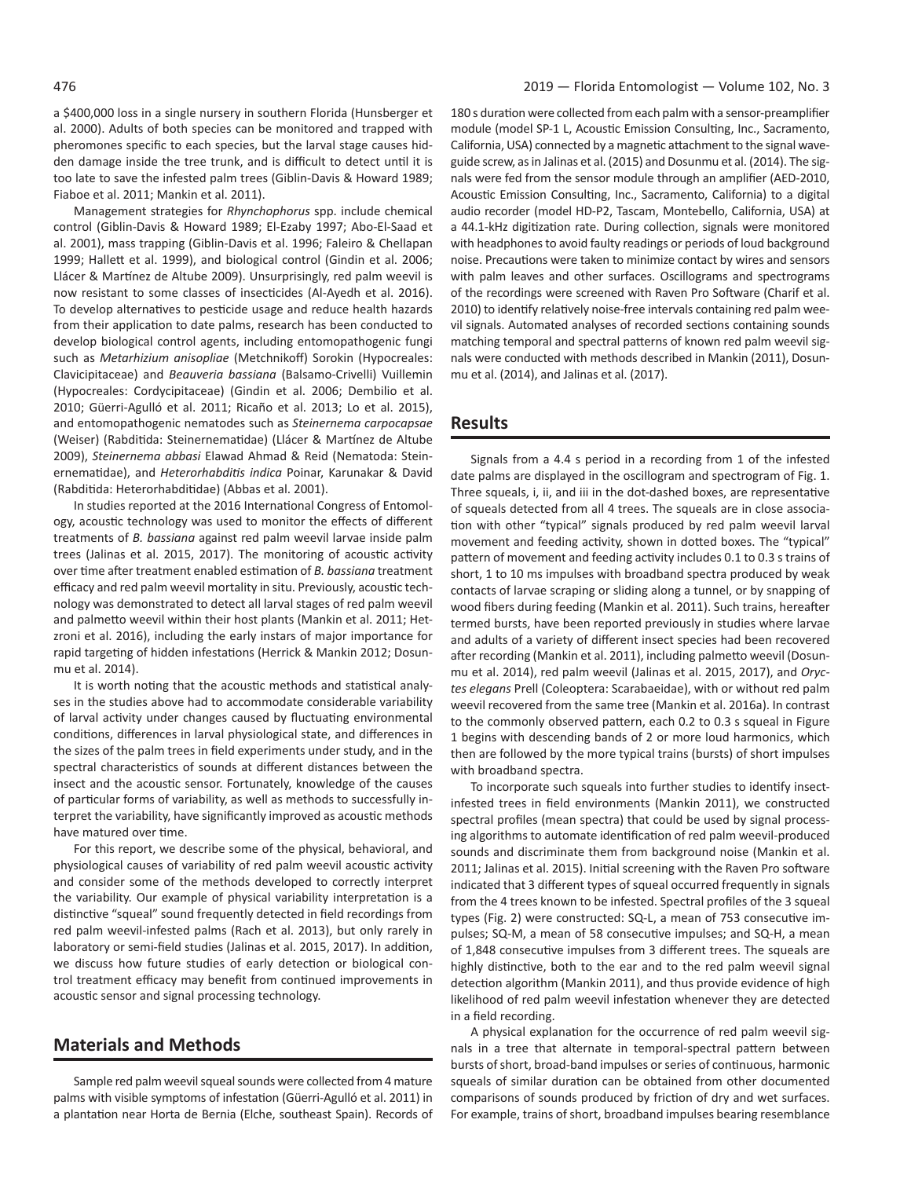a \$400,000 loss in a single nursery in southern Florida (Hunsberger et al. 2000). Adults of both species can be monitored and trapped with pheromones specific to each species, but the larval stage causes hidden damage inside the tree trunk, and is difficult to detect until it is too late to save the infested palm trees (Giblin-Davis & Howard 1989; Fiaboe et al. 2011; Mankin et al. 2011).

Management strategies for *Rhynchophorus* spp. include chemical control (Giblin-Davis & Howard 1989; El-Ezaby 1997; Abo-El-Saad et al. 2001), mass trapping (Giblin-Davis et al. 1996; Faleiro & Chellapan 1999; Hallett et al. 1999), and biological control (Gindin et al. 2006; Llácer & Martínez de Altube 2009). Unsurprisingly, red palm weevil is now resistant to some classes of insecticides (Al-Ayedh et al. 2016). To develop alternatives to pesticide usage and reduce health hazards from their application to date palms, research has been conducted to develop biological control agents, including entomopathogenic fungi such as *Metarhizium anisopliae* (Metchnikoff) Sorokin (Hypocreales: Clavicipitaceae) and *Beauveria bassiana* (Balsamo-Crivelli) Vuillemin (Hypocreales: Cordycipitaceae) (Gindin et al. 2006; Dembilio et al. 2010; Güerri-Agulló et al. 2011; Ricaño et al. 2013; Lo et al. 2015), and entomopathogenic nematodes such as *Steinernema carpocapsae* (Weiser) (Rabditida: Steinernematidae) (Llácer & Martínez de Altube 2009), *Steinernema abbasi* Elawad Ahmad & Reid (Nematoda: Steinernematidae), and *Heterorhabditis indica* Poinar, Karunakar & David (Rabditida: Heterorhabditidae) (Abbas et al. 2001).

In studies reported at the 2016 International Congress of Entomology, acoustic technology was used to monitor the effects of different treatments of *B. bassiana* against red palm weevil larvae inside palm trees (Jalinas et al. 2015, 2017). The monitoring of acoustic activity over time after treatment enabled estimation of *B. bassiana* treatment efficacy and red palm weevil mortality in situ. Previously, acoustic technology was demonstrated to detect all larval stages of red palm weevil and palmetto weevil within their host plants (Mankin et al. 2011; Hetzroni et al. 2016), including the early instars of major importance for rapid targeting of hidden infestations (Herrick & Mankin 2012; Dosunmu et al. 2014).

It is worth noting that the acoustic methods and statistical analyses in the studies above had to accommodate considerable variability of larval activity under changes caused by fluctuating environmental conditions, differences in larval physiological state, and differences in the sizes of the palm trees in field experiments under study, and in the spectral characteristics of sounds at different distances between the insect and the acoustic sensor. Fortunately, knowledge of the causes of particular forms of variability, as well as methods to successfully interpret the variability, have significantly improved as acoustic methods have matured over time.

For this report, we describe some of the physical, behavioral, and physiological causes of variability of red palm weevil acoustic activity and consider some of the methods developed to correctly interpret the variability. Our example of physical variability interpretation is a distinctive "squeal" sound frequently detected in field recordings from red palm weevil-infested palms (Rach et al. 2013), but only rarely in laboratory or semi-field studies (Jalinas et al. 2015, 2017). In addition, we discuss how future studies of early detection or biological control treatment efficacy may benefit from continued improvements in acoustic sensor and signal processing technology.

#### **Materials and Methods**

Sample red palm weevil squeal sounds were collected from 4 mature palms with visible symptoms of infestation (Güerri-Agulló et al. 2011) in a plantation near Horta de Bernia (Elche, southeast Spain). Records of

180 s duration were collected from each palm with a sensor-preamplifier module (model SP-1 L, Acoustic Emission Consulting, Inc., Sacramento, California, USA) connected by a magnetic attachment to the signal waveguide screw, as in Jalinas et al. (2015) and Dosunmu et al. (2014). The signals were fed from the sensor module through an amplifier (AED-2010, Acoustic Emission Consulting, Inc., Sacramento, California) to a digital audio recorder (model HD-P2, Tascam, Montebello, California, USA) at a 44.1-kHz digitization rate. During collection, signals were monitored with headphones to avoid faulty readings or periods of loud background noise. Precautions were taken to minimize contact by wires and sensors with palm leaves and other surfaces. Oscillograms and spectrograms of the recordings were screened with Raven Pro Software (Charif et al. 2010) to identify relatively noise-free intervals containing red palm weevil signals. Automated analyses of recorded sections containing sounds matching temporal and spectral patterns of known red palm weevil signals were conducted with methods described in Mankin (2011), Dosunmu et al. (2014), and Jalinas et al. (2017).

### **Results**

Signals from a 4.4 s period in a recording from 1 of the infested date palms are displayed in the oscillogram and spectrogram of Fig. 1. Three squeals, i, ii, and iii in the dot-dashed boxes, are representative of squeals detected from all 4 trees. The squeals are in close association with other "typical" signals produced by red palm weevil larval movement and feeding activity, shown in dotted boxes. The "typical" pattern of movement and feeding activity includes 0.1 to 0.3 s trains of short, 1 to 10 ms impulses with broadband spectra produced by weak contacts of larvae scraping or sliding along a tunnel, or by snapping of wood fibers during feeding (Mankin et al. 2011). Such trains, hereafter termed bursts, have been reported previously in studies where larvae and adults of a variety of different insect species had been recovered after recording (Mankin et al. 2011), including palmetto weevil (Dosunmu et al. 2014), red palm weevil (Jalinas et al. 2015, 2017), and *Oryctes elegans* Prell (Coleoptera: Scarabaeidae), with or without red palm weevil recovered from the same tree (Mankin et al. 2016a). In contrast to the commonly observed pattern, each 0.2 to 0.3 s squeal in Figure 1 begins with descending bands of 2 or more loud harmonics, which then are followed by the more typical trains (bursts) of short impulses with broadband spectra.

To incorporate such squeals into further studies to identify insectinfested trees in field environments (Mankin 2011), we constructed spectral profiles (mean spectra) that could be used by signal processing algorithms to automate identification of red palm weevil-produced sounds and discriminate them from background noise (Mankin et al. 2011; Jalinas et al. 2015). Initial screening with the Raven Pro software indicated that 3 different types of squeal occurred frequently in signals from the 4 trees known to be infested. Spectral profiles of the 3 squeal types (Fig. 2) were constructed: SQ-L, a mean of 753 consecutive impulses; SQ-M, a mean of 58 consecutive impulses; and SQ-H, a mean of 1,848 consecutive impulses from 3 different trees. The squeals are highly distinctive, both to the ear and to the red palm weevil signal detection algorithm (Mankin 2011), and thus provide evidence of high likelihood of red palm weevil infestation whenever they are detected in a field recording.

A physical explanation for the occurrence of red palm weevil signals in a tree that alternate in temporal-spectral pattern between bursts of short, broad-band impulses or series of continuous, harmonic squeals of similar duration can be obtained from other documented comparisons of sounds produced by friction of dry and wet surfaces. For example, trains of short, broadband impulses bearing resemblance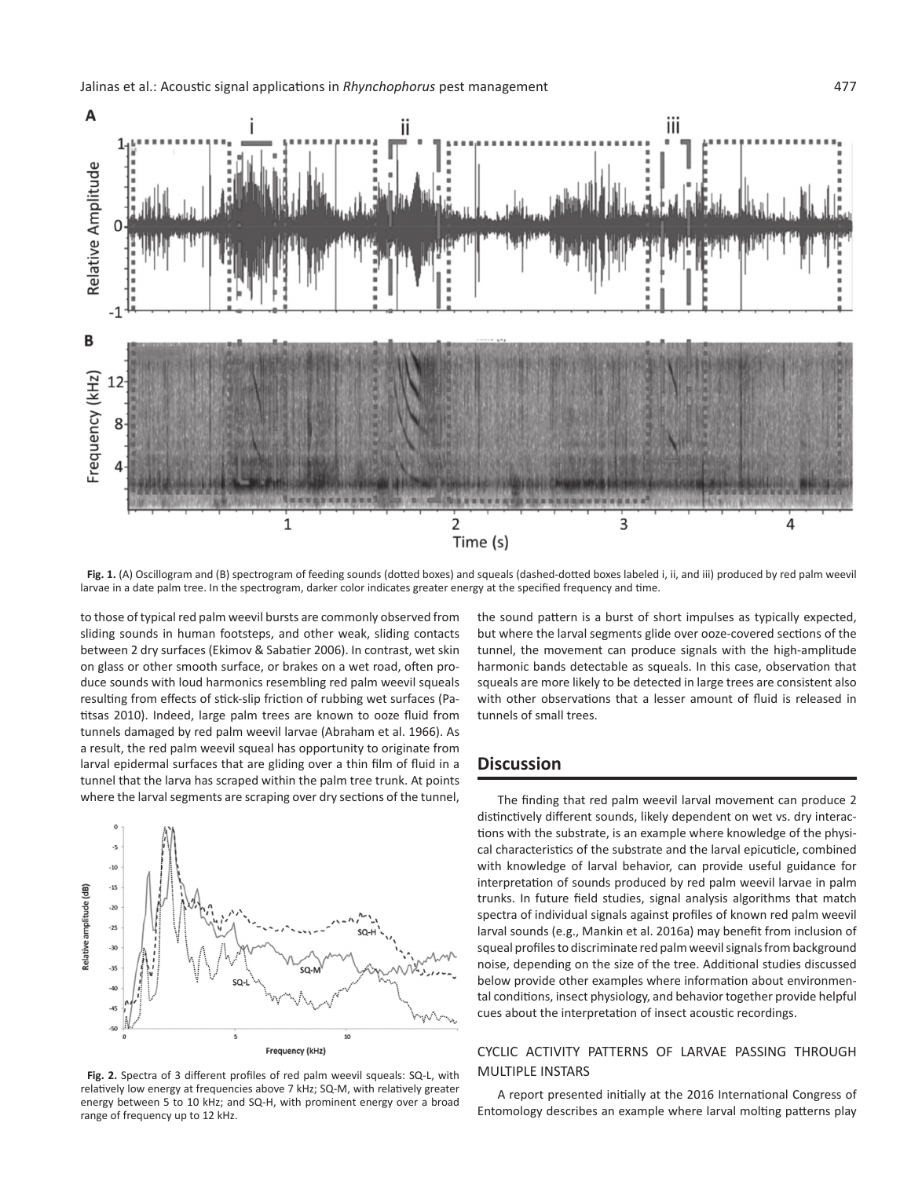

Fig. 1. (A) Oscillogram and (B) spectrogram of feeding sounds (dotted boxes) and squeals (dashed-dotted boxes labeled i, ii, and iii) produced by red palm weevil larvae in a date palm tree. In the spectrogram, darker color indicates greater energy at the specified frequency and time.

to those of typical red palm weevil bursts are commonly observed from sliding sounds in human footsteps, and other weak, sliding contacts between 2 dry surfaces (Ekimov & Sabatier 2006). In contrast, wet skin on glass or other smooth surface, or brakes on a wet road, often produce sounds with loud harmonics resembling red palm weevil squeals resulting from effects of stick-slip friction of rubbing wet surfaces (Patitsas 2010). Indeed, large palm trees are known to ooze fluid from tunnels damaged by red palm weevil larvae (Abraham et al. 1966). As a result, the red palm weevil squeal has opportunity to originate from larval epidermal surfaces that are gliding over a thin film of fluid in a tunnel that the larva has scraped within the palm tree trunk. At points where the larval segments are scraping over dry sections of the tunnel,



**Fig. 2.** Spectra of 3 different profiles of red palm weevil squeals: SQ-L, with relatively low energy at frequencies above 7 kHz; SQ-M, with relatively greater energy between 5 to 10 kHz; and SQ-H, with prominent energy over a broad range of frequency up to 12 kHz.

the sound pattern is a burst of short impulses as typically expected, but where the larval segments glide over ooze-covered sections of the tunnel, the movement can produce signals with the high-amplitude harmonic bands detectable as squeals. In this case, observation that squeals are more likely to be detected in large trees are consistent also with other observations that a lesser amount of fluid is released in tunnels of small trees.

# **Discussion**

The finding that red palm weevil larval movement can produce 2 distinctively different sounds, likely dependent on wet vs. dry interactions with the substrate, is an example where knowledge of the physical characteristics of the substrate and the larval epicuticle, combined with knowledge of larval behavior, can provide useful guidance for interpretation of sounds produced by red palm weevil larvae in palm trunks. In future field studies, signal analysis algorithms that match spectra of individual signals against profiles of known red palm weevil larval sounds (e.g., Mankin et al. 2016a) may benefit from inclusion of squeal profiles to discriminate red palm weevil signals from background noise, depending on the size of the tree. Additional studies discussed below provide other examples where information about environmental conditions, insect physiology, and behavior together provide helpful cues about the interpretation of insect acoustic recordings.

#### Cyclic Activity Patterns of Larvae Passing through Multiple Instars

A report presented initially at the 2016 International Congress of Entomology describes an example where larval molting patterns play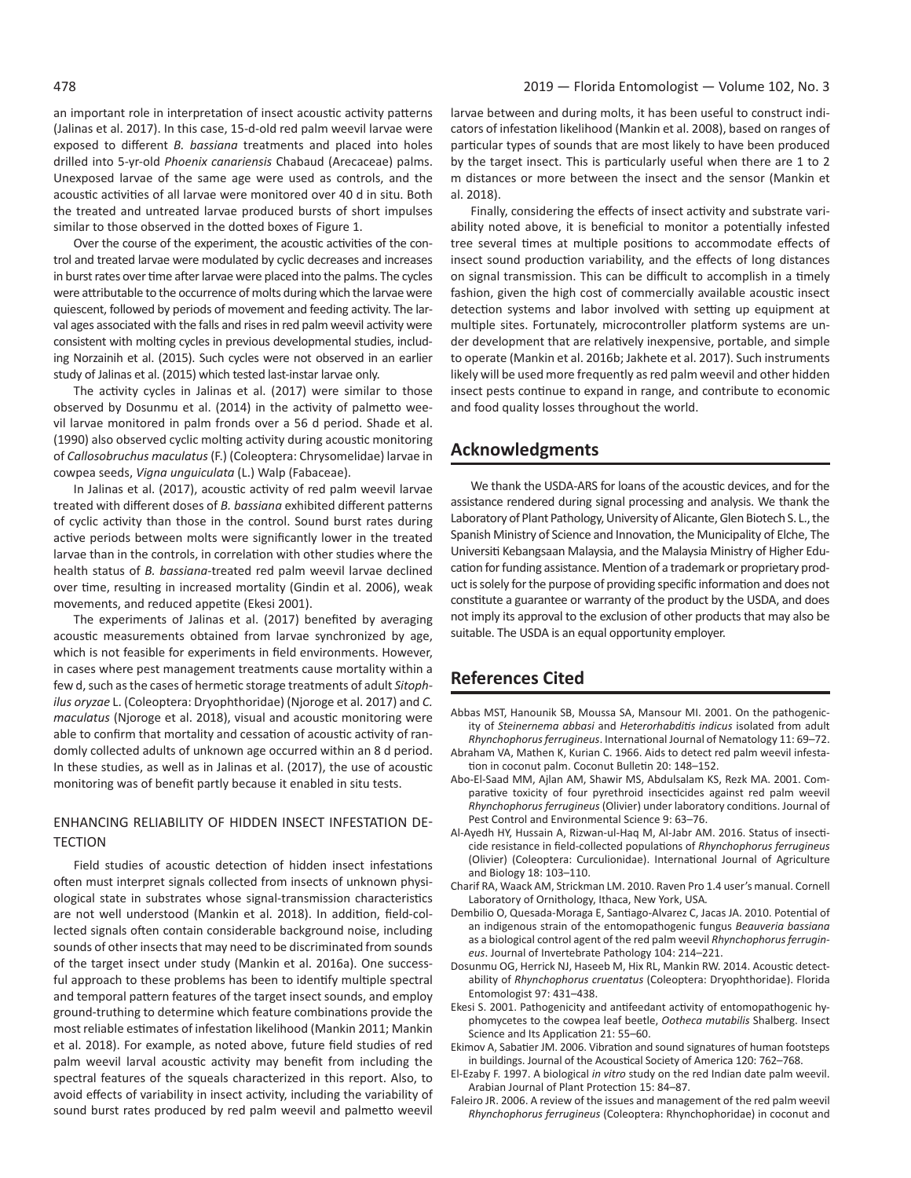an important role in interpretation of insect acoustic activity patterns (Jalinas et al. 2017). In this case, 15-d-old red palm weevil larvae were exposed to different *B. bassiana* treatments and placed into holes drilled into 5-yr-old *Phoenix canariensis* Chabaud (Arecaceae) palms. Unexposed larvae of the same age were used as controls, and the acoustic activities of all larvae were monitored over 40 d in situ. Both the treated and untreated larvae produced bursts of short impulses similar to those observed in the dotted boxes of Figure 1.

Over the course of the experiment, the acoustic activities of the control and treated larvae were modulated by cyclic decreases and increases in burst rates over time after larvae were placed into the palms. The cycles were attributable to the occurrence of molts during which the larvae were quiescent, followed by periods of movement and feeding activity. The larval ages associated with the falls and rises in red palm weevil activity were consistent with molting cycles in previous developmental studies, including Norzainih et al. (2015). Such cycles were not observed in an earlier study of Jalinas et al. (2015) which tested last-instar larvae only.

The activity cycles in Jalinas et al. (2017) were similar to those observed by Dosunmu et al. (2014) in the activity of palmetto weevil larvae monitored in palm fronds over a 56 d period. Shade et al. (1990) also observed cyclic molting activity during acoustic monitoring of *Callosobruchus maculatus* (F.) (Coleoptera: Chrysomelidae) larvae in cowpea seeds, *Vigna unguiculata* (L.) Walp (Fabaceae).

In Jalinas et al. (2017), acoustic activity of red palm weevil larvae treated with different doses of *B. bassiana* exhibited different patterns of cyclic activity than those in the control. Sound burst rates during active periods between molts were significantly lower in the treated larvae than in the controls, in correlation with other studies where the health status of *B. bassiana*-treated red palm weevil larvae declined over time, resulting in increased mortality (Gindin et al. 2006), weak movements, and reduced appetite (Ekesi 2001).

The experiments of Jalinas et al. (2017) benefited by averaging acoustic measurements obtained from larvae synchronized by age, which is not feasible for experiments in field environments. However, in cases where pest management treatments cause mortality within a few d, such as the cases of hermetic storage treatments of adult *Sitophilus oryzae* L. (Coleoptera: Dryophthoridae) (Njoroge et al. 2017) and *C. maculatus* (Njoroge et al. 2018), visual and acoustic monitoring were able to confirm that mortality and cessation of acoustic activity of randomly collected adults of unknown age occurred within an 8 d period. In these studies, as well as in Jalinas et al. (2017), the use of acoustic monitoring was of benefit partly because it enabled in situ tests.

#### Enhancing Reliability of Hidden Insect Infestation De-**TECTION**

Field studies of acoustic detection of hidden insect infestations often must interpret signals collected from insects of unknown physiological state in substrates whose signal-transmission characteristics are not well understood (Mankin et al. 2018). In addition, field-collected signals often contain considerable background noise, including sounds of other insects that may need to be discriminated from sounds of the target insect under study (Mankin et al. 2016a). One successful approach to these problems has been to identify multiple spectral and temporal pattern features of the target insect sounds, and employ ground-truthing to determine which feature combinations provide the most reliable estimates of infestation likelihood (Mankin 2011; Mankin et al. 2018). For example, as noted above, future field studies of red palm weevil larval acoustic activity may benefit from including the spectral features of the squeals characterized in this report. Also, to avoid effects of variability in insect activity, including the variability of sound burst rates produced by red palm weevil and palmetto weevil

larvae between and during molts, it has been useful to construct indicators of infestation likelihood (Mankin et al. 2008), based on ranges of particular types of sounds that are most likely to have been produced by the target insect. This is particularly useful when there are 1 to 2 m distances or more between the insect and the sensor (Mankin et al. 2018).

Finally, considering the effects of insect activity and substrate variability noted above, it is beneficial to monitor a potentially infested tree several times at multiple positions to accommodate effects of insect sound production variability, and the effects of long distances on signal transmission. This can be difficult to accomplish in a timely fashion, given the high cost of commercially available acoustic insect detection systems and labor involved with setting up equipment at multiple sites. Fortunately, microcontroller platform systems are under development that are relatively inexpensive, portable, and simple to operate (Mankin et al. 2016b; Jakhete et al. 2017). Such instruments likely will be used more frequently as red palm weevil and other hidden insect pests continue to expand in range, and contribute to economic and food quality losses throughout the world.

# **Acknowledgments**

We thank the USDA-ARS for loans of the acoustic devices, and for the assistance rendered during signal processing and analysis. We thank the Laboratory of Plant Pathology, University of Alicante, Glen Biotech S. L., the Spanish Ministry of Science and Innovation, the Municipality of Elche, The Universiti Kebangsaan Malaysia, and the Malaysia Ministry of Higher Education for funding assistance. Mention of a trademark or proprietary product is solely for the purpose of providing specific information and does not constitute a guarantee or warranty of the product by the USDA, and does not imply its approval to the exclusion of other products that may also be suitable. The USDA is an equal opportunity employer.

# **References Cited**

- Abbas MST, Hanounik SB, Moussa SA, Mansour MI. 2001. On the pathogenicity of *Steinernema abbasi* and *Heterorhabditis indicus* isolated from adult
- *Rhynchophorus ferrugineus*. International Journal of Nematology 11: 69–72. Abraham VA, Mathen K, Kurian C. 1966. Aids to detect red palm weevil infestation in coconut palm. Coconut Bulletin 20: 148–152.
- Abo-El-Saad MM, Ajlan AM, Shawir MS, Abdulsalam KS, Rezk MA. 2001. Comparative toxicity of four pyrethroid insecticides against red palm weevil *Rhynchophorus ferrugineus* (Olivier) under laboratory conditions. Journal of Pest Control and Environmental Science 9: 63–76.
- Al-Ayedh HY, Hussain A, Rizwan-ul-Haq M, Al-Jabr AM. 2016. Status of insecticide resistance in field-collected populations of *Rhynchophorus ferrugineus* (Olivier) (Coleoptera: Curculionidae). International Journal of Agriculture and Biology 18: 103–110.
- Charif RA, Waack AM, Strickman LM. 2010. Raven Pro 1.4 user's manual. Cornell Laboratory of Ornithology, Ithaca, New York, USA*.*
- Dembilio O, Quesada-Moraga E, Santiago-Alvarez C, Jacas JA. 2010. Potential of an indigenous strain of the entomopathogenic fungus *Beauveria bassiana* as a biological control agent of the red palm weevil *Rhynchophorus ferrugineus*. Journal of Invertebrate Pathology 104: 214–221.
- Dosunmu OG, Herrick NJ, Haseeb M, Hix RL, Mankin RW. 2014. Acoustic detectability of *Rhynchophorus cruentatus* (Coleoptera: Dryophthoridae). Florida Entomologist 97: 431–438.
- Ekesi S. 2001. Pathogenicity and antifeedant activity of entomopathogenic hyphomycetes to the cowpea leaf beetle, *Ootheca mutabilis* Shalberg. Insect Science and Its Application 21: 55–60.
- Ekimov A, Sabatier JM. 2006. Vibration and sound signatures of human footsteps in buildings. Journal of the Acoustical Society of America 120: 762–768.
- El-Ezaby F. 1997. A biological *in vitro* study on the red Indian date palm weevil. Arabian Journal of Plant Protection 15: 84–87.
- Faleiro JR. 2006. A review of the issues and management of the red palm weevil *Rhynchophorus ferrugineus* (Coleoptera: Rhynchophoridae) in coconut and